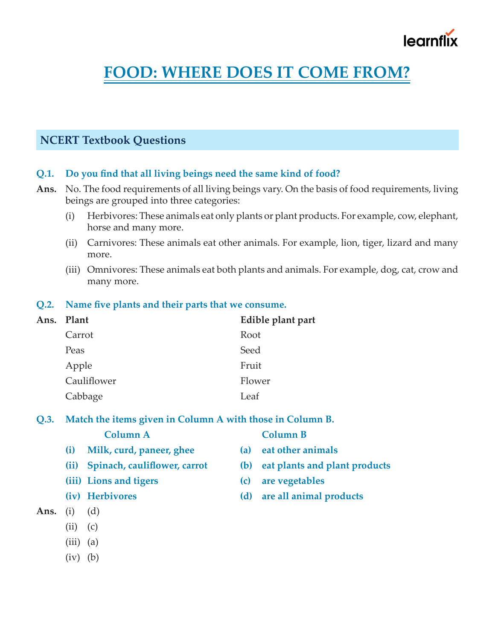# learnflix

## **FOOD: WHERE DOES IT COME FROM?**

### **NCERT Textbook Questions**

#### **Q.1. Do you find that all living beings need the same kind of food?**

- **Ans.** No. The food requirements of all living beings vary. On the basis of food requirements, living beings are grouped into three categories:
	- (i) Herbivores: These animals eat only plants or plant products. For example, cow, elephant, horse and many more.
	- (ii) Carnivores: These animals eat other animals. For example, lion, tiger, lizard and many more.
	- (iii) Omnivores: These animals eat both plants and animals. For example, dog, cat, crow and many more.

#### **Q.2. Name five plants and their parts that we consume.**

| Ans. Plant  | Edible plant part |
|-------------|-------------------|
| Carrot      | Root              |
| Peas        | Seed              |
| Apple       | Fruit             |
| Cauliflower | Flower            |
| Cabbage     | Leaf              |
|             |                   |

#### **Q.3. Match the items given in Column A with those in Column B.**

**Column A Column B**

- 
- **(i) Milk, curd, paneer, ghee (a) eat other animals (ii) Spinach, cauliflower, carrot (b) eat plants and plant products**
- **(iii) Lions and tigers (c) are vegetables**
- 
- **Ans.** (i) (d)
	- $(ii)$   $(c)$
	- $(iii)$   $(a)$
	- $(iv)$   $(b)$
- 
- 
- 
- **(iv) Herbivores (d) are all animal products**